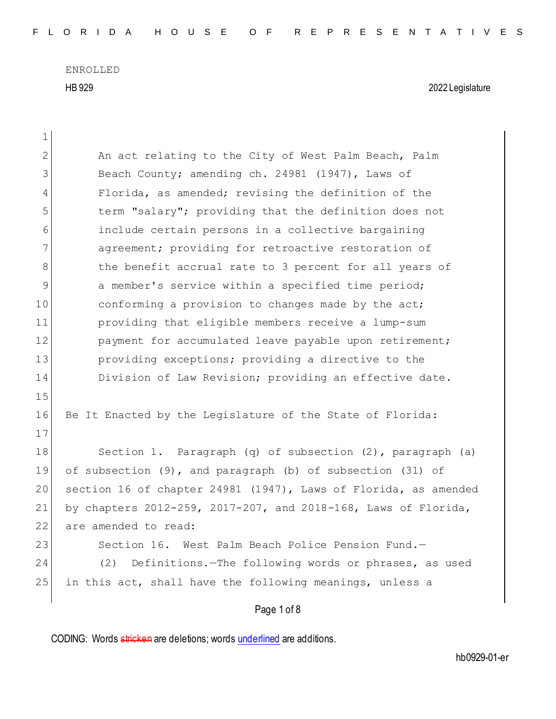| $\mathbf 1$  |                                                                 |
|--------------|-----------------------------------------------------------------|
| $\mathbf{2}$ | An act relating to the City of West Palm Beach, Palm            |
| 3            | Beach County; amending ch. 24981 (1947), Laws of                |
| 4            | Florida, as amended; revising the definition of the             |
| 5            | term "salary"; providing that the definition does not           |
| 6            | include certain persons in a collective bargaining              |
| 7            | agreement; providing for retroactive restoration of             |
| 8            | the benefit accrual rate to 3 percent for all years of          |
| 9            | a member's service within a specified time period;              |
| 10           | conforming a provision to changes made by the act;              |
| 11           | providing that eligible members receive a lump-sum              |
| 12           | payment for accumulated leave payable upon retirement;          |
| 13           | providing exceptions; providing a directive to the              |
| 14           | Division of Law Revision; providing an effective date.          |
| 15           |                                                                 |
| 16           | Be It Enacted by the Legislature of the State of Florida:       |
| 17           |                                                                 |
| 18           | Section 1. Paragraph (q) of subsection (2), paragraph (a)       |
| 19           | of subsection (9), and paragraph (b) of subsection (31) of      |
| 20           | section 16 of chapter 24981 (1947), Laws of Florida, as amended |
| 21           | by chapters 2012-259, 2017-207, and 2018-168, Laws of Florida,  |
| 22           | are amended to read:                                            |
| 23           | West Palm Beach Police Pension Fund.-<br>Section 16.            |
| 24           | (2)<br>Definitions. - The following words or phrases, as used   |
| 25           | in this act, shall have the following meanings, unless a        |
|              | Page 1 of 8                                                     |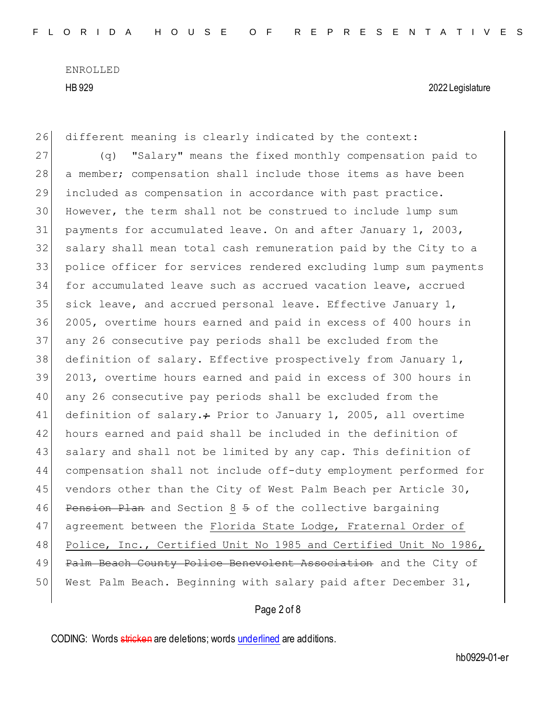26 different meaning is clearly indicated by the context: 27 (q) "Salary" means the fixed monthly compensation paid to 28 a member; compensation shall include those items as have been 29 included as compensation in accordance with past practice. 30 However, the term shall not be construed to include lump sum 31 payments for accumulated leave. On and after January 1, 2003, 32 salary shall mean total cash remuneration paid by the City to a 33 police officer for services rendered excluding lump sum payments 34 for accumulated leave such as accrued vacation leave, accrued 35 sick leave, and accrued personal leave. Effective January  $1$ , 36 2005, overtime hours earned and paid in excess of 400 hours in 37 any 26 consecutive pay periods shall be excluded from the 38 definition of salary. Effective prospectively from January 1, 39 2013, overtime hours earned and paid in excess of 300 hours in 40 any 26 consecutive pay periods shall be excluded from the 41 definition of salary. $\div$  Prior to January 1, 2005, all overtime 42 hours earned and paid shall be included in the definition of 43 salary and shall not be limited by any cap. This definition of 44 compensation shall not include off-duty employment performed for 45 vendors other than the City of West Palm Beach per Article 30, 46 Pension Plan and Section 8 5 of the collective bargaining 47 agreement between the Florida State Lodge, Fraternal Order of 48 Police, Inc., Certified Unit No 1985 and Certified Unit No 1986, 49 Palm Beach County Police Benevolent Association and the City of 50 West Palm Beach. Beginning with salary paid after December 31,

# Page 2 of 8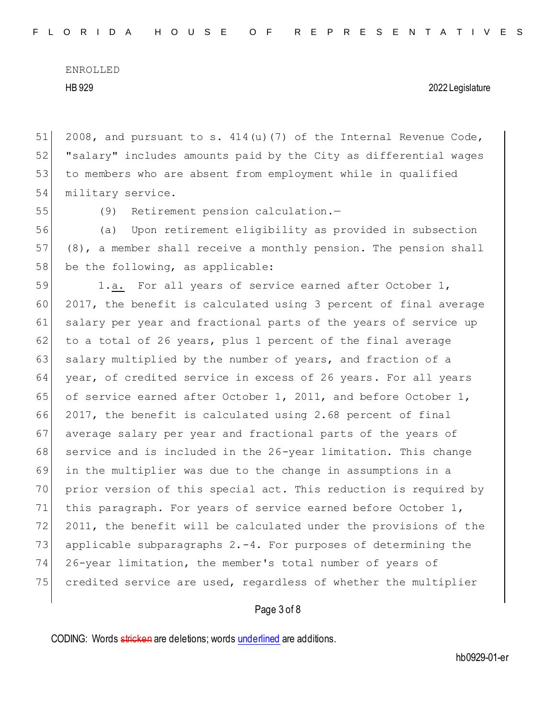51 2008, and pursuant to s.  $414(u)(7)$  of the Internal Revenue Code, 52 "salary" includes amounts paid by the City as differential wages 53 to members who are absent from employment while in qualified 54 military service.

55 (9) Retirement pension calculation.—

56 (a) Upon retirement eligibility as provided in subsection 57 (8), a member shall receive a monthly pension. The pension shall  $58$  be the following, as applicable:

59 1.a. For all years of service earned after October 1, 60 2017, the benefit is calculated using 3 percent of final average 61 salary per year and fractional parts of the years of service up 62 to a total of 26 years, plus 1 percent of the final average 63 salary multiplied by the number of years, and fraction of a 64 year, of credited service in excess of 26 years. For all years 65 of service earned after October 1, 2011, and before October 1, 66 2017, the benefit is calculated using 2.68 percent of final 67 average salary per year and fractional parts of the years of 68 service and is included in the 26-year limitation. This change 69 in the multiplier was due to the change in assumptions in a 70 prior version of this special act. This reduction is required by 71 this paragraph. For years of service earned before October 1, 72 2011, the benefit will be calculated under the provisions of the 73 applicable subparagraphs  $2. -4$ . For purposes of determining the 74 26-year limitation, the member's total number of years of 75 credited service are used, regardless of whether the multiplier

## Page 3 of 8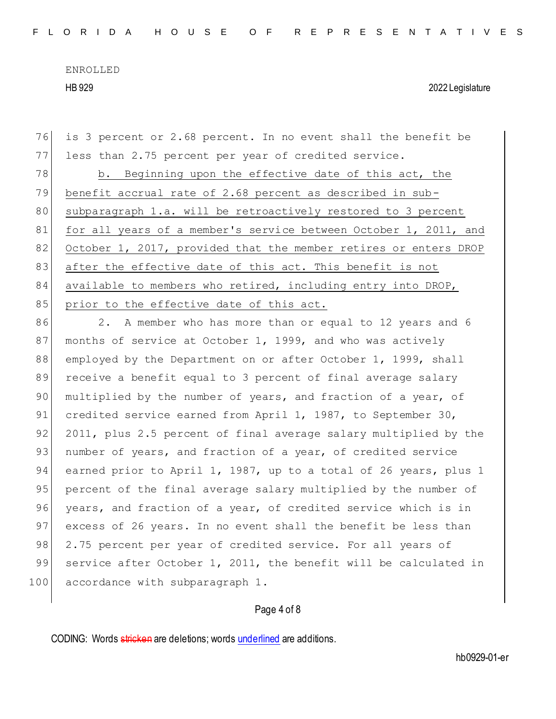76 is 3 percent or 2.68 percent. In no event shall the benefit be 77 less than 2.75 percent per year of credited service. 78 b. Beginning upon the effective date of this act, the 79 benefit accrual rate of 2.68 percent as described in sub-80 subparagraph 1.a. will be retroactively restored to 3 percent 81 for all years of a member's service between October 1, 2011, and 82 October 1, 2017, provided that the member retires or enters DROP 83 after the effective date of this act. This benefit is not 84 available to members who retired, including entry into DROP, 85 prior to the effective date of this act. 86 2. A member who has more than or equal to 12 years and 6 87 months of service at October 1, 1999, and who was actively 88 employed by the Department on or after October 1, 1999, shall 89 receive a benefit equal to 3 percent of final average salary 90 multiplied by the number of years, and fraction of a year, of 91 credited service earned from April 1, 1987, to September 30, 92 2011, plus 2.5 percent of final average salary multiplied by the 93 | number of years, and fraction of a year, of credited service 94 earned prior to April 1, 1987, up to a total of 26 years, plus 1 95 percent of the final average salary multiplied by the number of

96 years, and fraction of a year, of credited service which is in 97 excess of 26 years. In no event shall the benefit be less than 98 2.75 percent per year of credited service. For all years of 99 service after October 1, 2011, the benefit will be calculated in 100 accordance with subparagraph 1.

### Page 4 of 8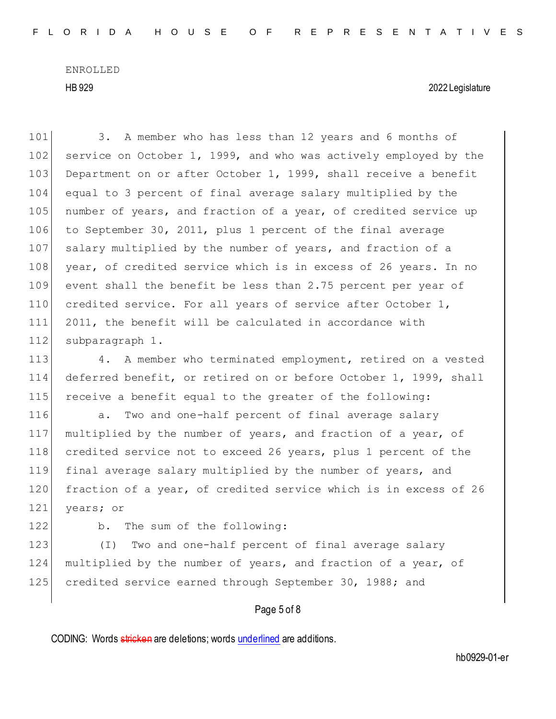101 3. A member who has less than 12 years and 6 months of 102 service on October 1, 1999, and who was actively employed by the 103 Department on or after October 1, 1999, shall receive a benefit 104 equal to 3 percent of final average salary multiplied by the 105 number of years, and fraction of a year, of credited service up 106 to September 30, 2011, plus 1 percent of the final average 107 salary multiplied by the number of years, and fraction of a 108 year, of credited service which is in excess of 26 years. In no 109 event shall the benefit be less than 2.75 percent per year of 110 credited service. For all years of service after October 1, 111 2011, the benefit will be calculated in accordance with 112 subparagraph 1.

113 4. A member who terminated employment, retired on a vested 114 deferred benefit, or retired on or before October 1, 1999, shall 115 receive a benefit equal to the greater of the following:

116 a. Two and one-half percent of final average salary 117 multiplied by the number of years, and fraction of a year, of 118 credited service not to exceed 26 years, plus 1 percent of the 119 final average salary multiplied by the number of years, and 120 fraction of a year, of credited service which is in excess of 26 121 years; or

122 b. The sum of the following:

123 (I) Two and one-half percent of final average salary 124 multiplied by the number of years, and fraction of a year, of 125 credited service earned through September 30, 1988; and

## Page 5 of 8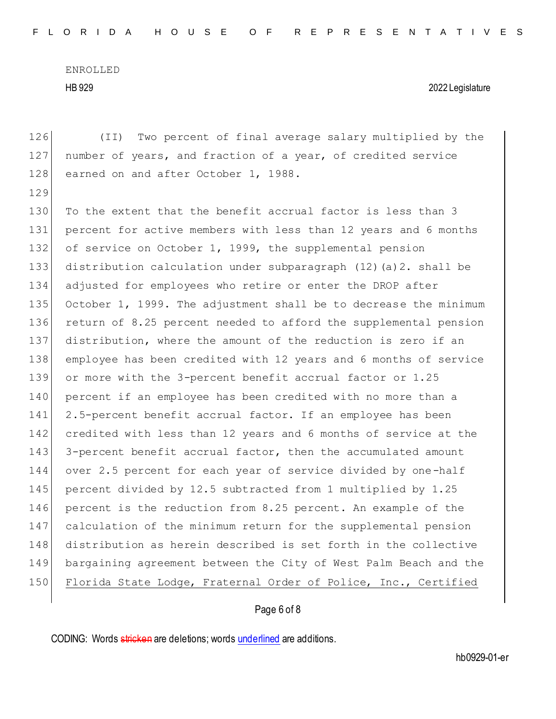126 (II) Two percent of final average salary multiplied by the 127 number of years, and fraction of a year, of credited service 128 earned on and after October 1, 1988. 129 130 To the extent that the benefit accrual factor is less than 3 131 percent for active members with less than 12 years and 6 months 132 of service on October 1, 1999, the supplemental pension 133 distribution calculation under subparagraph (12)(a)2. shall be 134 adjusted for employees who retire or enter the DROP after 135 October 1, 1999. The adjustment shall be to decrease the minimum 136 return of 8.25 percent needed to afford the supplemental pension 137 distribution, where the amount of the reduction is zero if an 138 employee has been credited with 12 years and 6 months of service 139 or more with the 3-percent benefit accrual factor or 1.25 140 | percent if an employee has been credited with no more than a 141 2.5-percent benefit accrual factor. If an employee has been 142 credited with less than 12 years and 6 months of service at the 143 3-percent benefit accrual factor, then the accumulated amount 144 over 2.5 percent for each year of service divided by one-half 145 percent divided by 12.5 subtracted from 1 multiplied by 1.25 146 percent is the reduction from 8.25 percent. An example of the 147 calculation of the minimum return for the supplemental pension 148 distribution as herein described is set forth in the collective 149 bargaining agreement between the City of West Palm Beach and the 150 Florida State Lodge, Fraternal Order of Police, Inc., Certified

# Page 6 of 8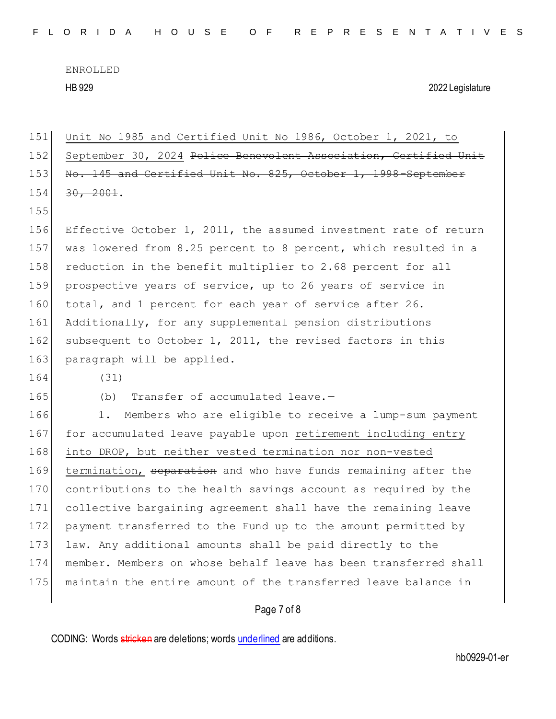151 Unit No 1985 and Certified Unit No 1986, October 1, 2021, to 152 September 30, 2024 Police Benevolent Association, Certified Unit 153 No. 145 and Certified Unit No. 825, October 1, 1998-September  $154$   $30, 2001$ . 155 156 Effective October 1, 2011, the assumed investment rate of return 157 was lowered from 8.25 percent to 8 percent, which resulted in a 158 reduction in the benefit multiplier to 2.68 percent for all 159 prospective years of service, up to 26 years of service in 160 total, and 1 percent for each year of service after 26. 161 Additionally, for any supplemental pension distributions 162 subsequent to October 1, 2011, the revised factors in this 163 paragraph will be applied. 164 (31) 165 (b) Transfer of accumulated leave.-166 1. Members who are eligible to receive a lump-sum payment 167 for accumulated leave payable upon retirement including entry 168 into DROP, but neither vested termination nor non-vested 169 termination, separation and who have funds remaining after the 170 contributions to the health savings account as required by the 171 collective bargaining agreement shall have the remaining leave 172 payment transferred to the Fund up to the amount permitted by 173 law. Any additional amounts shall be paid directly to the 174 member. Members on whose behalf leave has been transferred shall 175 maintain the entire amount of the transferred leave balance in

## Page 7 of 8